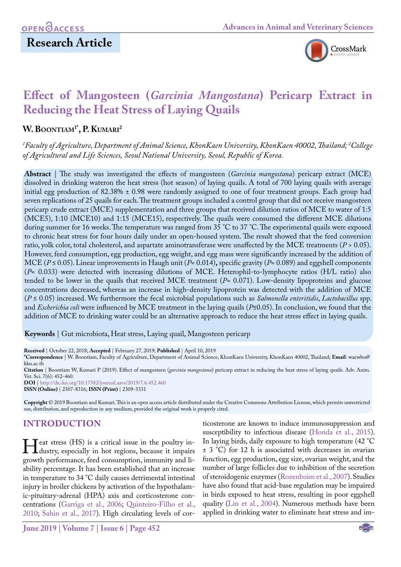# **Research Article**



# **Effect of Mangosteen (***Garcinia Mangostana***) Pericarp Extract in Reducing the Heat Stress of Laying Quails**

#### **W. Boontiam1\*, P. Kumari2**

*1 Faculty of Agriculture, Department of Animal Science, KhonKaen University, KhonKaen 40002, Thailand; 2 College of Agricultural and Life Sciences, Seoul National University, Seoul, Republic of Korea.*

**Abstract** | The study was investigated the effects of mangosteen (*Garcinia mangostana*) pericarp extract (MCE) dissolved in drinking wateron the heat stress (hot season) of laying quails. A total of 700 laying quails with average initial egg production of 82.38% ± 0.98 were randomly assigned to one of four treatment groups. Each group had seven replications of 25 quails for each. The treatment groups included a control group that did not receive mangosteen pericarp crude extract (MCE) supplementation and three groups that received dilution ratios of MCE to water of 1:5 (MCE5), 1:10 (MCE10) and 1:15 (MCE15), respectively. The quails were consumed the different MCE dilutions during summer for 16 weeks. The temperature was ranged from 35 °C to 37 °C. The experimental quails were exposed to chronic heat stress for four hours daily under an open-housed system. The result showed that the feed conversion ratio, yolk color, total cholesterol, and aspartate aminotransferase were unaffected by the MCE treatments (*P* > 0.05). However, feed consumption, egg production, egg weight, and egg mass were significantly increased by the addition of MCE (*P* ≤ 0.05). Linear improvements in Haugh unit (*P*= 0.014)**,** specific gravity (*P*= 0.089) and eggshell components (*P*= 0.033) were detected with increasing dilutions of MCE. Heterophil-to-lymphocyte ratios (H/L ratio) also tended to be lower in the quails that received MCE treatment (*P*= 0.071). Low-density lipoproteins and glucose concentrations decreased, whereas an increase in high-density lipoprotein was detected with the addition of MCE (*P* ≤ 0.05) increased. We furthermore the fecal microbial populations such as *Salmonella enteritidis*, *Lactobacillus* spp. and *Escherichia coli* were influenced by MCE treatment in the laying quails (*P*≤0.05). In conclusion, we found that the addition of MCE to drinking water could be an alternative approach to reduce the heat stress effect in laying quails.

**Keywords** | Gut microbiota, Heat stress, Laying quail, Mangosteen pericarp

**Received** | October 22, 2018; **Accepted** | February 27, 2019; **Published** | April 10, 2019

**\*Correspondence** | W. Boontiam, Faculty of Agriculture, Department of Animal Science, KhonKaen University, KhonKaen 40002, Thailand; **Email**: waewbo@ kku.ac.th

**Citation** | Boontiam W, Kumari P (2019). Effect of mangosteen (*garcinia mangostana*) pericarp extract in reducing the heat stress of laying quails. Adv. Anim. Vet. Sci. 7(6): 452-460.

**DOI** | [http://dx.doi.org/10.17582/journal.aavs/201](http://dx.doi.org/10.17582/journal.aavs/2019/7.6.452.460
)9/7.6.452.460 **ISSN (Online)** | 2307-8316; **ISSN (Print)** | 2309-3331

**Copyright** © 2019 Boontiam and Kumari. This is an open access article distributed under the Creative Commons Attribution License, which permits unrestricted use, distribution, and reproduction in any medium, provided the original work is properly cited.

## **INTRODUCTION**

Heat stress (HS) is a critical issue in the poultry in-<br>dustry, especially in hot regions, because it impairs<br>growth performance feed consumption, immunity and ligrowth performance, feed consumption, immunity and liability percentage. It has been established that an increase in temperature to 34 °C daily causes detrimental intestinal injury in broiler chickens by activation of the hypothalamic-pituitary-adrenal (HPA) axis and corticosterone concentrations ([Garriga et al., 2006;](#page-7-0) Quinteiro-Filho et al., 2010; [Sahin et al., 2017\)](#page-8-0). High circulating levels of cor-

ticosterone are known to induce immunosuppression and susceptibility to infectious disease [\(Honda et al., 2015\)](#page-7-1). In laying birds, daily exposure to high temperature (42 °C ± 3 °C) for 12 h is associated with decreases in ovarian function, egg production, egg size, ovarian weight, and the number of large follicles due to inhibition of the secretion of steroidogenic enzymes [\(Rozenboim et al., 2007](#page-8-1)). Studies have also found that acid-base regulation may be impaired in birds exposed to heat stress, resulting in poor eggshell quality ([Lin et al., 2004](#page-8-2)). Numerous methods have been applied in drinking water to eliminate heat stress and im-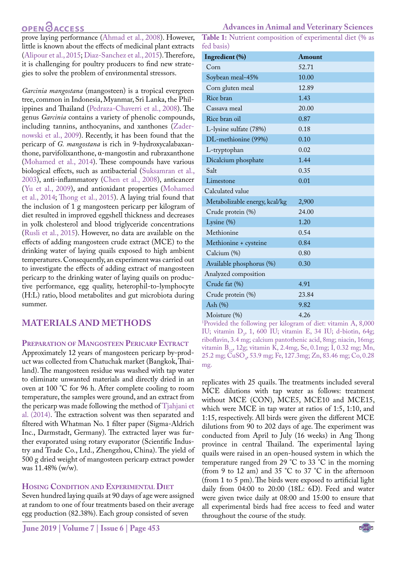# **OPEN GACCESS**

prove laying performance [\(Ahmad et al., 2008\)](#page-7-2). However, little is known about the effects of medicinal plant extracts [\(Alipour et al., 2015;](#page-7-3) Diaz-Sanchez et al., 2015). Therefore, it is challenging for poultry producers to find new strategies to solve the problem of environmental stressors.

*Garcinia mangostana* (mangosteen) is a tropical evergreen tree, common in Indonesia, Myanmar, Sri Lanka, the Philippines and Thailand (Pedraza-Chaverri et al., 2008). The genus *Garcinia* contains a variety of phenolic compounds, including tannins, anthocyanins, and xanthones [\(Zader](#page-8-3)[nowski et al., 2009](#page-8-3)). Recently, it has been found that the pericarp of *G. mangostana* is rich in 9-hydroxycalabaxanthone, parvifolixanthone, α-mangostin and rubraxanthone [\(Mohamed et al., 2014](#page-8-4)). These compounds have various biological effects, such as antibacterial [\(Suksamran et al.,](#page-8-5) [2003](#page-8-5)), anti-inflammatory [\(Chen et al., 2008](#page-7-4)), anticancer ([Yu et al., 2009\)](#page-8-6), and antioxidant properties [\(Mohamed](#page-8-4) [et al., 2014](#page-8-4); [Thong et al., 2015](#page-8-7)). A laying trial found that the inclusion of 1 g mangosteen pericarp per kilogram of diet resulted in improved eggshell thickness and decreases in yolk cholesterol and blood triglyceride concentrations [\(Rusli et al., 2015\)](#page-8-8). However, no data are available on the effects of adding mangosteen crude extract (MCE) to the drinking water of laying quails exposed to high ambient temperatures. Consequently, an experiment was carried out to investigate the effects of adding extract of mangosteen pericarp to the drinking water of laying quails on productive performance, egg quality, heterophil-to-lymphocyte (H:L) ratio, blood metabolites and gut microbiota during summer.

## **MATERIALS AND METHODS**

#### **Preparation of Mangosteen Pericarp Extract**

Approximately 12 years of mangosteen pericarp by-product was collected from Chatuchak market (Bangkok, Thailand). The mangosteen residue was washed with tap water to eliminate unwanted materials and directly dried in an oven at 100 °C for 96 h. After complete cooling to room temperature, the samples were ground, and an extract from the pericarp was made following the method of [Tjahjani et](#page-8-9) [al. \(2014\).](#page-8-9) The extraction solvent was then separated and filtered with Whatman No. 1 filter paper (Sigma-Aldrich Inc., Darmstadt, Germany). The extracted layer was further evaporated using rotary evaporator (Scientific Industry and Trade Co., Ltd., Zhengzhou, China). The yield of 500 g dried weight of mangosteen pericarp extract powder was 11.48% (w/w)*.*

#### **Hosing Condition and Experimental Diet**

Seven hundred laying quails at 90 days of age were assigned at random to one of four treatments based on their average egg production (82.38%). Each group consisted of seven

<span id="page-1-0"></span>**Table 1:** Nutrient composition of experimental diet (% as fed basis)

| $ca$ Dasis $l$                |        |
|-------------------------------|--------|
| Ingredient (%)                | Amount |
| Corn                          | 52.71  |
| Soybean meal-45%              | 10.00  |
| Corn gluten meal              | 12.89  |
| Rice bran                     | 1.43   |
| Cassava meal                  | 20.00  |
| Rice bran oil                 | 0.87   |
| L-lysine sulfate (78%)        | 0.18   |
| DL-methionine (99%)           | 0.10   |
| L-tryptophan                  | 0.02   |
| Dicalcium phosphate           | 1.44   |
| Salt                          | 0.35   |
| Limestone                     | 0.01   |
| Calculated value              |        |
| Metabolizable energy, kcal/kg | 2,900  |
| Crude protein (%)             | 24.00  |
| Lysine $(\%)$                 | 1.20   |
| Methionine                    | 0.54   |
| Methionine + cysteine         | 0.84   |
| Calcium (%)                   | 0.80   |
| Available phosphorus (%)      | 0.30   |
| Analyzed composition          |        |
| Crude fat (%)                 | 4.91   |
| Crude protein (%)             | 23.84  |
| Ash $(\%)$                    | 9.82   |
| Moisture (%)                  | 4.26   |

Moisture (%) 4.26<br><sup>1</sup>Provided the following per kilogram of diet: vitamin A, 8,000 IU; vitamin  $D_3$ , 1, 600 IU; vitamin E, 34 IU; d-biotin, 64g; riboflavin, 3.4 mg; calcium pantothenic acid, 8mg; niacin, 16mg; vitamin B<sub>12</sub>, 12g; vitamin K, 2.4mg, Se, 0.1mg; I, 0.32 mg; Mn,  $25.2 \text{ mg}$ ; CuSO<sub>4</sub>, 53.9 mg; Fe, 127.3mg; Zn, 83.46 mg; Co, 0.28 mg.

replicates with 25 quails. The treatments included several MCE dilutions with tap water as follows: treatment without MCE (CON), MCE5, MCE10 and MCE15, which were MCE in tap water at ratios of 1:5, 1:10, and 1:15, respectively. All birds were given the different MCE dilutions from 90 to 202 days of age. The experiment was conducted from April to July (16 weeks) in Ang Thong province in central Thailand. The experimental laying quails were raised in an open-housed system in which the temperature ranged from 29 °C to 33 °C in the morning (from 9 to 12 am) and 35 °C to 37 °C in the afternoon (from 1 to 5 pm). The birds were exposed to artificial light daily from 04:00 to 20:00 (18L: 6D). Feed and water were given twice daily at 08:00 and 15:00 to ensure that all experimental birds had free access to feed and water throughout the course of the study.

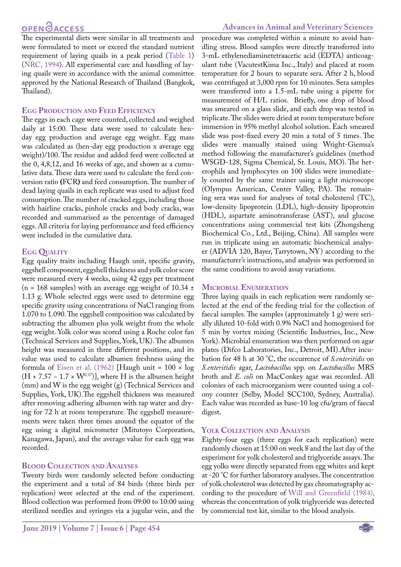**Advances in Animal and Veterinary Sciences**

The experimental diets were similar in all treatments and were formulated to meet or exceed the standard nutrient requirement of laying quails in a peak period ([Table 1\)](#page-1-0) ([NRC, 1994\)](#page-8-10). All experimental care and handling of laying quails were in accordance with the animal committee approved by the National Research of Thailand (Bangkok, Thailand).

#### **Egg Production and Feed Efficiency**

The eggs in each cage were counted, collected and weighed daily at 15:00. These data were used to calculate henday egg production and average egg weight. Egg mass was calculated as (hen-day egg production x average egg weight)/100. The residue and added feed were collected at the 0, 4,8,12, and 16 weeks of age, and shown as a cumulative data. These data were used to calculate the feed conversion ratio **(**FCR**)** and feed consumption. The number of dead laying quails in each replicate was used to adjust feed consumption. The number of cracked eggs, including those with hairline cracks, pinhole cracks and body cracks, was recorded and summarised as the percentage of damaged eggs. All criteria for laying performance and feed efficiency were included in the cumulative data.

#### **Egg Quality**

Egg quality traits including Haugh unit, specific gravity, eggshell component, eggshell thickness and yolk color score were measured every 4 weeks, using 42 eggs per treatment (n = 168 samples) with an average egg weight of 10.34  $\pm$ 1.13 g. Whole selected eggs were used to determine egg specific gravity using concentrations of NaCl ranging from 1.070 to 1.090. The eggshell composition was calculated by subtracting the albumen plus yolk weight from the whole egg weight. Yolk color was scored using a Roche color fan (Technical Services and Supplies, York, UK). The albumen height was measured in three different positions, and its value was used to calculate albumen freshness using the formula of [Eisen et al. \(1962\)](#page-7-5) [Haugh unit =  $100 \times \log$  $(H + 7.57 - 1.7 \times W^{0.37})$ , where H is the albumen height (mm) and W is the egg weight (g) (Technical Services and Supplies, York, UK).The eggshell thickness was measured after removing adhering albumen with tap water and drying for 72 h at room temperature. The eggshell measurements were taken three times around the equator of the egg using a digital micrometer (Mitutoyo Corporation, Kanagawa, Japan), and the average value for each egg was recorded.

### **Blood Collection and Analyses**

Twenty birds were randomly selected before conducting the experiment and a total of 84 birds (three birds per replication) were selected at the end of the experiment. Blood collection was performed from 09:00 to 10:00 using sterilized needles and syringes via a jugular vein, and the

procedure was completed within a minute to avoid handling stress. Blood samples were directly transferred into 3-mL ethylenediaminetetraacetic acid (EDTA) anticoagulant tube (VacutestKima Inc., Italy) and placed at room temperature for 2 hours to separate sera. After 2 h, blood was centrifuged at 3,000 rpm for 10 minutes. Sera samples were transferred into a 1.5-mL tube using a pipette for measurement of H/L ratios. Briefly, one drop of blood was smeared on a glass slide, and each drop was tested in triplicate. The slides were dried at room temperature before immersion in 95% methyl alcohol solution. Each smeared slide was post-fixed every 20 min a total of 5 times. The slides were manually stained using Wright-Giemsa's method following the manufacturer's guidelines (method WSGD-128, Sigma Chemical, St. Louis, MO). The heterophils and lymphocytes on 100 slides were immediately counted by the same trainer using a light microscope (Olympus American, Center Valley, PA). The remaining sera was used for analyses of total cholesterol (TC), low-density lipoprotein (LDL), high-density lipoprotein (HDL), aspartate aminotransferase (AST), and glucose concentrations using commercial test kits (Zhongsheng Biochemical Co., Ltd., Beijing, China). All samples were run in triplicate using an automatic biochemical analyser (ADVIA 120, Bayer, Tarrytown, NY) according to the manufacturer's instructions, and analysis was performed in the same conditions to avoid assay variations.

#### **Microbial Enumeration**

Three laying quails in each replication were randomly selected at the end of the feeding trial for the collection of faecal samples. The samples (approximately 1 g) were serially diluted 10-fold with 0.9% NaCl and homogenised for 5 min by vortex mixing (Scientific Industries, Inc., New York). Microbial enumeration was then performed on agar plates (Difco Laboratories, Inc., Detroit, MI).After incubation for 48 h at 30 °C, the occurrence of *S.enteritidis* on *S.enteritidis* agar, *Lactobacillus* spp. on *Lactobacillus* MRS broth and *E. coli* on MacConkey agar was recorded. All colonies of each microorganism were counted using a colony counter (Selby, Model SCC100, Sydney, Australia). Each value was recorded as base-10 log cfu/gram of faecal digest.

#### **Yolk Collection and Analysis**

Eighty-four eggs (three eggs for each replication) were randomly chosen at 15:00 on week 8 and the last day of the experiment for yolk cholesterol and triglyceride assays. The egg yolks were directly separated from egg whites and kept at -20 °C for further laboratory analyses. The concentration of yolk cholesterol was detected by gas chromatography according to the procedure of Will and Greenfield (1984), whereas the concentration of yolk triglyceride was detected by commercial test kit, similar to the blood analysis.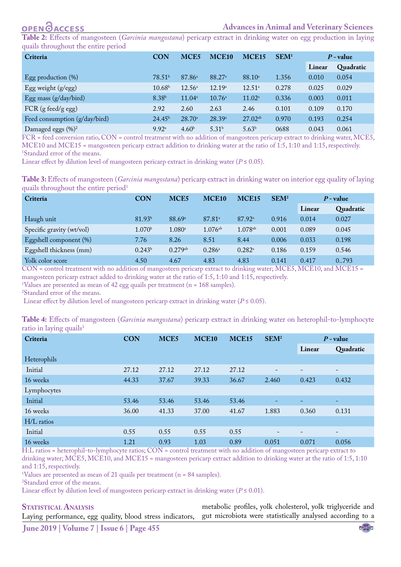# **OPEN**OACCESS

<span id="page-3-0"></span>**Table 2:** Effects of mangosteen (*Garcinia mangostana*) pericarp extract in drinking water on egg production in laying quails throughout the entire period

| $\tilde{\phantom{a}}$<br>Criteria | <b>CON</b>         | MCE <sub>5</sub>   | MCE <sub>10</sub>  | MCE <sub>15</sub>  | SEM <sup>1</sup> |        | $P$ - value |
|-----------------------------------|--------------------|--------------------|--------------------|--------------------|------------------|--------|-------------|
|                                   |                    |                    |                    |                    |                  | Linear | Quadratic   |
| Egg production $(\%)$             | 78.51 <sup>b</sup> | 87.86 <sup>a</sup> | 88.27 <sup>a</sup> | 88.10 <sup>a</sup> | 1.356            | 0.010  | 0.054       |
| Egg weight (g/egg)                | 10.68 <sup>b</sup> | $12.56^{\circ}$    | 12.19 <sup>a</sup> | $12.51^a$          | 0.278            | 0.025  | 0.029       |
| Egg mass (g/day/bird)             | 8.38 <sup>b</sup>  | $11.04^{\circ}$    | $10.76^{\circ}$    | $11.02^a$          | 0.336            | 0.003  | 0.011       |
| $FCR$ (g feed/g egg)              | 2.92               | 2.60               | 2.63               | 2.46               | 0.101            | 0.109  | 0.170       |
| Feed consumption (g/day/bird)     | 24.45 <sup>b</sup> | $28.70^{\circ}$    | 28.39 <sup>a</sup> | $27.02^{ab}$       | 0.970            | 0.193  | 0.254       |
| Damaged eggs (%) <sup>2</sup>     | 9.92 <sup>a</sup>  | 4.60 <sup>b</sup>  | 5.31 <sup>b</sup>  | 5.63 <sup>b</sup>  | 0688             | 0.043  | 0.061       |

FCR = feed conversion ratio, CON = control treatment with no addition of mangosteen pericarp extract to drinking water, MCE5, MCE10 and MCE15 = mangosteen pericarp extract addition to drinking water at the ratio of 1:5, 1:10 and 1:15, respectively. 1 Standard error of the means.

Linear effect by dilution level of mangosteen pericarp extract in drinking water ( $P \le 0.05$ ).

<span id="page-3-1"></span>

| Table 3: Effects of mangosteen (Garcinia mangostana) pericarp extract in drinking water on interior egg quality of laying |  |  |  |  |
|---------------------------------------------------------------------------------------------------------------------------|--|--|--|--|
| quails throughout the entire period <sup>1</sup>                                                                          |  |  |  |  |

| Criteria                  | <b>CON</b>         | MCE <sub>5</sub>     | MCE <sub>10</sub>     | MCE <sub>15</sub>  | SEM <sup>2</sup> | $P$ - value |           |
|---------------------------|--------------------|----------------------|-----------------------|--------------------|------------------|-------------|-----------|
|                           |                    |                      |                       |                    |                  | Linear      | Quadratic |
| Haugh unit                | 81.93 <sup>b</sup> | 88.69 <sup>a</sup>   | $87.81$ <sup>a</sup>  | 87.92 <sup>a</sup> | 0.916            | 0.014       | 0.027     |
| Specific gravity (wt/vol) | 1.070 <sup>b</sup> | $1.080$ <sup>a</sup> | $1.076$ <sup>ab</sup> | $1.078^{ab}$       | 0.001            | 0.089       | 0.045     |
| Eggshell component (%)    | 7.76               | 8.26                 | 8.51                  | 8.44               | 0.006            | 0.033       | 0.198     |
| Eggshell thickness (mm)   | $0.243^b$          | 0.279a b             | $0.286^{\rm a}$       | $0.282^{\rm a}$    | 0.186            | 0.159       | 0.546     |
| Yolk color score          | 4.50               | 4.67                 | 4.83                  | 4.83               | 0.141            | 0.417       | 0.793     |

CON = control treatment with no addition of mangosteen pericarp extract to drinking water; MCE5, MCE10, and MCE15 =

mangosteen pericarp extract added to drinking water at the ratio of 1:5, 1:10 and 1:15, respectively.

<sup>1</sup>Values are presented as mean of 42 egg quails per treatment (n =  $168$  samples).

2 Standard error of the means.

Linear effect by dilution level of mangosteen pericarp extract in drinking water ( $P \le 0.05$ ).

<span id="page-3-2"></span>

| Table 4: Effects of mangosteen (Garcinia mangostana) pericarp extract in drinking water on heterophil-to-lymphocyte |  |  |  |
|---------------------------------------------------------------------------------------------------------------------|--|--|--|
| ratio in laying quails <sup>1</sup>                                                                                 |  |  |  |

| O <sub>1</sub><br>Criteria | <b>CON</b><br>MCE5<br>MCE <sub>10</sub> |       | MCE15 | SEM <sup>2</sup> | $P$ - value |        |                          |
|----------------------------|-----------------------------------------|-------|-------|------------------|-------------|--------|--------------------------|
|                            |                                         |       |       |                  |             | Linear | Quadratic                |
| Heterophils                |                                         |       |       |                  |             |        |                          |
| Initial                    | 27.12                                   | 27.12 | 27.12 | 27.12            |             |        | -                        |
| 16 weeks                   | 44.33                                   | 37.67 | 39.33 | 36.67            | 2.460       | 0.423  | 0.432                    |
| Lymphocytes                |                                         |       |       |                  |             |        |                          |
| Initial                    | 53.46                                   | 53.46 | 53.46 | 53.46            |             |        | ۰                        |
| 16 weeks                   | 36.00                                   | 41.33 | 37.00 | 41.67            | 1.883       | 0.360  | 0.131                    |
| H/L ratios                 |                                         |       |       |                  |             |        |                          |
| Initial                    | 0.55                                    | 0.55  | 0.55  | 0.55             |             |        | $\overline{\phantom{0}}$ |
| 16 weeks                   | 1.21                                    | 0.93  | 1.03  | 0.89             | 0.051       | 0.071  | 0.056                    |

H:L ratios = heterophil-to-lymphocyte ratios; CON = control treatment with no addition of mangosteen pericarp extract to drinking water; MCE5, MCE10, and MCE15 = mangosteen pericarp extract addition to drinking water at the ratio of 1:5, 1:10 and 1:15, respectively.

1 Values are presented as mean of 21 quails per treatment (n = 84 samples).

2 Standard error of the means.

Linear effect by dilution level of mangosteen pericarp extract in drinking water ( $P \le 0.01$ ).

#### **STATISTICAL ANALYSIS**

Laying performance, egg quality, blood stress indicators, metabolic profiles, yolk cholesterol, yolk triglyceride and gut microbiota were statistically analysed according to a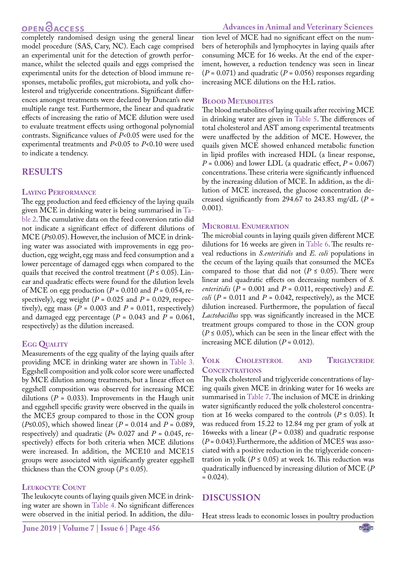# **OPEN GACCESS**

completely randomised design using the general linear model procedure (SAS, Cary, NC). Each cage comprised an experimental unit for the detection of growth performance, whilst the selected quails and eggs comprised the experimental units for the detection of blood immune responses, metabolic profiles, gut microbiota, and yolk cholesterol and triglyceride concentrations. Significant differences amongst treatments were declared by Duncan's new multiple range test. Furthermore, the linear and quadratic effects of increasing the ratio of MCE dilution were used to evaluate treatment effects using orthogonal polynomial contrasts. Significance values of *P*<0.05 were used for the experimental treatments and *P*<0.05 to *P*<0.10 were used to indicate a tendency.

## **RESULTS**

#### **Laying Performance**

The egg production and feed efficiency of the laying quails given MCE in drinking water is being summarised in [Ta](#page-3-0)[ble 2.](#page-3-0) The cumulative data on the feed conversion ratio did not indicate a significant effect of different dilutions of MCE (*P*≤0.05). However, the inclusion of MCE in drinking water was associated with improvements in egg production, egg weight, egg mass and feed consumption and a lower percentage of damaged eggs when compared to the quails that received the control treatment ( $P \le 0.05$ ). Linear and quadratic effects were found for the dilution levels of MCE on egg production (*P* = 0.010 and *P* = 0.054, respectively), egg weight ( $P = 0.025$  and  $P = 0.029$ , respectively), egg mass  $(P = 0.003$  and  $P = 0.011$ , respectively) and damaged egg percentage  $(P = 0.043$  and  $P = 0.061$ , respectively) as the dilution increased.

#### **Egg Quality**

Measurements of the egg quality of the laying quails after providing MCE in drinking water are shown in [Table 3.](#page-3-1) Eggshell composition and yolk color score were unaffected by MCE dilution among treatments, but a linear effect on eggshell composition was observed for increasing MCE dilutions ( $P = 0.033$ ). Improvements in the Haugh unit and eggshell specific gravity were observed in the quails in the MCE5 group compared to those in the CON group (*P*≤0.05), which showed linear (*P* = 0.014 and *P* = 0.089, respectively) and quadratic ( $P= 0.027$  and  $P= 0.045$ , respectively) effects for both criteria when MCE dilutions were increased. In addition, the MCE10 and MCE15 groups were associated with significantly greater eggshell thickness than the CON group ( $P \le 0.05$ ).

#### **Leukocyte Count**

The leukocyte counts of laying quails given MCE in drinking water are shown in [Table 4.](#page-3-2) No significant differences were observed in the initial period. In addition, the dilution level of MCE had no significant effect on the numbers of heterophils and lymphocytes in laying quails after consuming MCE for 16 weeks. At the end of the experiment, however, a reduction tendency was seen in linear  $(P = 0.071)$  and quadratic  $(P = 0.056)$  responses regarding increasing MCE dilutions on the H:L ratios.

#### **Blood Metabolites**

The blood metabolites of laying quails after receiving MCE in drinking water are given in [Table 5.](#page-5-0) The differences of total cholesterol and AST among experimental treatments were unaffected by the addition of MCE. However, the quails given MCE showed enhanced metabolic function in lipid profiles with increased HDL (a linear response,  $P = 0.006$ ) and lower LDL (a quadratic effect,  $P = 0.067$ ) concentrations. These criteria were significantly influenced by the increasing dilution of MCE. In addition, as the dilution of MCE increased, the glucose concentration decreased significantly from 294.67 to 243.83 mg/dL  $(P =$ 0.001).

#### **Microbial Enumeration**

The microbial counts in laying quails given different MCE dilutions for 16 weeks are given in [Table 6.](#page-5-1) The results reveal reductions in *S.enteritidis* and *E. coli* populations in the cecum of the laying quails that consumed the MCEs compared to those that did not ( $P \le 0.05$ ). There were linear and quadratic effects on decreasing numbers of *S. enteritidis* ( $P = 0.001$  and  $P = 0.011$ , respectively) and  $E$ . *coli*  $(P = 0.011$  and  $P = 0.042$ , respectively), as the MCE dilution increased. Furthermore, the population of faecal *Lactobacillus* spp. was significantly increased in the MCE treatment groups compared to those in the CON group  $(P \le 0.05)$ , which can be seen in the linear effect with the increasing MCE dilution  $(P = 0.012)$ .

#### **Yolk Cholesterol and Triglyceride Concentrations**

The yolk cholesterol and triglyceride concentrations of laying quails given MCE in drinking water for 16 weeks are summarised in [Table 7](#page-5-2). The inclusion of MCE in drinking water significantly reduced the yolk cholesterol concentration at 16 weeks compared to the controls ( $P \le 0.05$ ). It was reduced from 15.22 to 12.84 mg per gram of yolk at 16weeks with a linear (*P* = 0.038) and quadratic response (*P* = 0.043).Furthermore, the addition of MCE5 was associated with a positive reduction in the triglyceride concentration in yolk ( $P \le 0.05$ ) at week 16. This reduction was quadratically influenced by increasing dilution of MCE (*P*  $= 0.024$ .

# **DISCUSSION**

Heat stress leads to economic losses in poultry production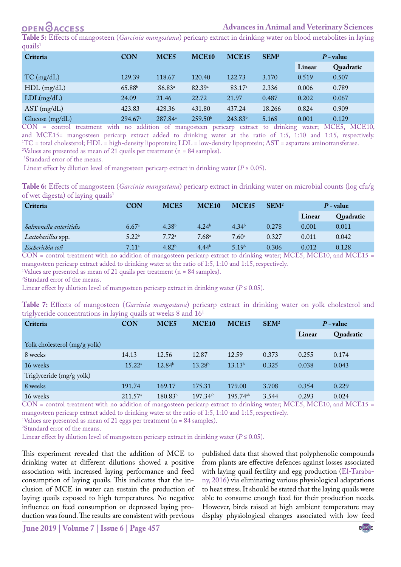<span id="page-5-0"></span>**Table 5:** Effects of mangosteen (*Garcinia mangostana*) pericarp extract in drinking water on blood metabolites in laying quails<sup>1</sup>

| Criteria        | <b>CON</b>            | MCE <sub>5</sub>    | MCE <sub>10</sub>   | <b>MCE15</b>        | SEM <sup>3</sup> |       | $P$ - value |
|-----------------|-----------------------|---------------------|---------------------|---------------------|------------------|-------|-------------|
|                 |                       |                     |                     |                     |                  |       | Quadratic   |
| $TC \, (mg/dL)$ | 129.39                | 118.67              | 120.40              | 122.73              | 3.170            | 0.519 | 0.507       |
| $HDL$ (mg/dL)   | 65.88 <sup>b</sup>    | 86.83 <sup>a</sup>  | 82.39a              | 83.17 <sup>a</sup>  | 2.336            | 0.006 | 0.789       |
| LDL(mg/dL)      | 24.09                 | 21.46               | 22.72               | 21.97               | 0.487            | 0.202 | 0.067       |
| $AST$ (mg/dL)   | 423.83                | 428.36              | 431.80              | 437.24              | 18.266           | 0.824 | 0.909       |
| Glucose (mg/dL) | $294.67$ <sup>a</sup> | 287.84 <sup>a</sup> | 259.50 <sup>b</sup> | 243.83 <sup>b</sup> | 5.168            | 0.001 | 0.129       |

CON = control treatment with no addition of mangosteen pericarp extract to drinking water; MCE5, MCE10, and MCE15= mangosteen pericarp extract added to drinking water at the ratio of 1:5, 1:10 and 1:15, respectively.  ${}^{1}TC$  = total cholesterol; HDL = high-density lipoprotein; LDL = low-density lipoprotein; AST = aspartate aminotransferase. <sup>2</sup>Values are presented as mean of 21 quails per treatment (n = 84 samples).

3 Standard error of the means.

Linear effect by dilution level of mangosteen pericarp extract in drinking water ( $P \le 0.05$ ).

<span id="page-5-1"></span>**Table 6:** Effects of mangosteen (*Garcinia mangostana*) pericarp extract in drinking water on microbial counts (log cfu/g of wet digesta) of laying quails<sup>1</sup>

| Criteria               | <b>CON</b>        | MCE <sub>5</sub>  | MCE <sub>10</sub> | <b>MCE15</b>      | SEM <sup>2</sup> | $P$ - value |           |
|------------------------|-------------------|-------------------|-------------------|-------------------|------------------|-------------|-----------|
|                        |                   |                   |                   |                   |                  | Linear      | Quadratic |
| Salmonella enteritidis | 6.67a             | 4.38 <sup>b</sup> | 4.24 <sup>b</sup> | $4.34^{b}$        | 0.278            | 0.001       | 0.011     |
| Lactobacillus spp.     | 5.22 <sup>b</sup> | 7.72 <sup>a</sup> | 7.68 <sup>a</sup> | $7.60^{\circ}$    | 0.327            | 0.011       | 0.042     |
| Escherichia coli       | 7.11 <sup>a</sup> | 4.82 <sup>b</sup> | $4.44^{b}$        | 5.19 <sup>b</sup> | 0.306            | 0.012       | 0.128     |

CON = control treatment with no addition of mangosteen pericarp extract to drinking water; MCE5, MCE10, and MCE15 = mangosteen pericarp extract added to drinking water at the ratio of 1:5, 1:10 and 1:15, respectively.

1 Values are presented as mean of 21 quails per treatment (n = 84 samples).

2 Standard error of the means.

Linear effect by dilution level of mangosteen pericarp extract in drinking water ( $P \le 0.05$ ).

<span id="page-5-2"></span>**Table 7:** Effects of mangosteen (*Garcinia mangostana*) pericarp extract in drinking water on yolk cholesterol and triglyceride concentrations in laying quails at weeks 8 and 161

| Criteria                     | <b>CON</b>           | MCE <sub>5</sub>    | MCE <sub>10</sub>  | MCE <sub>15</sub>      | SEM <sup>2</sup> | $P$ - value |           |
|------------------------------|----------------------|---------------------|--------------------|------------------------|------------------|-------------|-----------|
|                              |                      |                     |                    |                        |                  | Linear      | Quadratic |
| Yolk cholesterol (mg/g yolk) |                      |                     |                    |                        |                  |             |           |
| 8 weeks                      | 14.13                | 12.56               | 12.87              | 12.59                  | 0.373            | 0.255       | 0.174     |
| 16 weeks                     | $15.22^{\mathrm{a}}$ | 12.84 <sup>b</sup>  | 13.28 <sup>b</sup> | 13.13 <sup>b</sup>     | 0.325            | 0.038       | 0.043     |
| Triglyceride (mg/g yolk)     |                      |                     |                    |                        |                  |             |           |
| 8 weeks                      | 191.74               | 169.17              | 175.31             | 179.00                 | 3.708            | 0.354       | 0.229     |
| 16 weeks                     | 211.57 <sup>a</sup>  | 180.83 <sup>b</sup> | $197.34^{ab}$      | $195.74$ <sup>ab</sup> | 3.544            | 0.293       | 0.024     |

CON = control treatment with no addition of mangosteen pericarp extract to drinking water; MCE5, MCE10, and MCE15 = mangosteen pericarp extract added to drinking water at the ratio of 1:5, 1:10 and 1:15, respectively.

1 Values are presented as mean of 21 eggs per treatment (n = 84 samples).

2 Standard error of the means.

Linear effect by dilution level of mangosteen pericarp extract in drinking water ( $P \le 0.05$ ).

This experiment revealed that the addition of MCE to drinking water at different dilutions showed a positive association with increased laying performance and feed consumption of laying quails. This indicates that the inclusion of MCE in water can sustain the production of laying quails exposed to high temperatures. No negative influence on feed consumption or depressed laying production was found. The results are consistent with previous

published data that showed that polyphenolic compounds from plants are effective defences against losses associated with laying quail fertility and egg production [\(El-Taraba](#page-7-6)[ny, 2016\)](#page-7-6) via eliminating various physiological adaptations to heat stress. It should be stated that the laying quails were able to consume enough feed for their production needs. However, birds raised at high ambient temperature may display physiological changes associated with low feed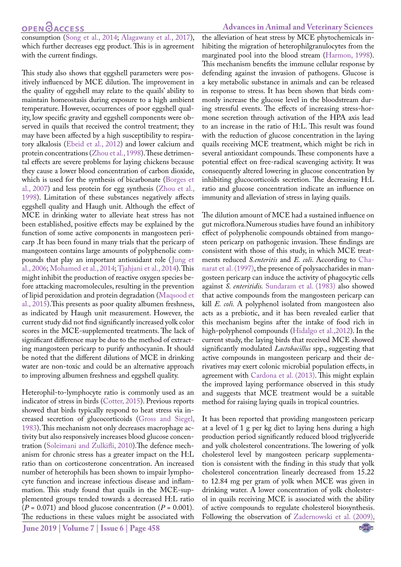# **OPENOACCESS**

consumption [\(Song et al., 2014;](#page-8-11) [Alagawany et al., 2017](#page-7-7)), which further decreases egg product. This is in agreement with the current findings.

This study also shows that eggshell parameters were positively influenced by MCE dilution. The improvement in the quality of eggshell may relate to the quails' ability to maintain homeostasis during exposure to a high ambient temperature. However, occurrences of poor eggshell quality, low specific gravity and eggshell components were observed in quails that received the control treatment; they may have been affected by a high susceptibility to respiratory alkalosis [\(Ebeid et al., 2012\)](#page-7-8) and lower calcium and protein concentrations [\(Zhou et al., 1998](#page-8-12)). These detrimental effects are severe problems for laying chickens because they cause a lower blood concentration of carbon dioxide, which is used for the synthesis of bicarbonate ([Borges et](#page-7-9) [al., 2007\)](#page-7-9) and less protein for egg synthesis [\(Zhou et al.,](#page-8-12) [1998\)](#page-8-12). Limitation of these substances negatively affects eggshell quality and Haugh unit. Although the effect of MCE in drinking water to alleviate heat stress has not been established, positive effects may be explained by the function of some active components in mangosteen pericarp .It has been found in many trials that the pericarp of mangosteen contains large amounts of polyphenolic compounds that play an important antioxidant role ([Jung et](#page-8-13) [al., 2006](#page-8-13); [Mohamed et al., 2014](#page-8-4); [Tjahjani et al., 2014\)](#page-8-9). This might inhibit the production of reactive oxygen species before attacking macromolecules, resulting in the prevention of lipid peroxidation and protein degradation ([Maqsood et](#page-8-14) [al., 2015\)](#page-8-14).This presents as poor quality albumen freshness, as indicated by Haugh unit measurement. However, the current study did not find significantly increased yolk color scores in the MCE-supplemented treatments. The lack of significant difference may be due to the method of extracting mangosteen pericarp to purify anthocyanin. It should be noted that the different dilutions of MCE in drinking water are non-toxic and could be an alternative approach to improving albumen freshness and eggshell quality.

Heterophil-to-lymphocyte ratio is commonly used as an indicator of stress in birds [\(Cotter, 2015](#page-7-10)). Previous reports showed that birds typically respond to heat stress via increased secretion of glucocorticoids ([Gross and Siegel,](#page-7-11) [1983\)](#page-7-11). This mechanism not only decreases macrophage activity but also responsively increases blood glucose concentration [\(Soleimani and Zulkifli, 2010\)](#page-8-15).The defence mechanism for chronic stress has a greater impact on the H:L ratio than on corticosterone concentration. An increased number of heterophils has been shown to impair lymphocyte function and increase infectious disease and inflammation. This study found that quails in the MCE-supplemented groups tended towards a decreased H:L ratio  $(P = 0.071)$  and blood glucose concentration  $(P = 0.001)$ . The reductions in these values might be associated with

#### **Advances in Animal and Veterinary Sciences**

the alleviation of heat stress by MCE phytochemicals inhibiting the migration of heterophilgranulocytes from the marginated pool into the blood stream [\(Harmon, 1998](#page-7-12)). This mechanism benefits the immune cellular response by defending against the invasion of pathogens. Glucose is a key metabolic substance in animals and can be released in response to stress. It has been shown that birds commonly increase the glucose level in the bloodstream during stressful events. The effects of increasing stress-hormone secretion through activation of the HPA axis lead to an increase in the ratio of H:L. This result was found with the reduction of glucose concentration in the laying quails receiving MCE treatment, which might be rich in several antioxidant compounds. These components have a potential effect on free-radical scavenging activity. It was consequently altered lowering in glucose concentration by inhibiting glucocorticoids secretion. The decreasing H:L ratio and glucose concentration indicate an influence on immunity and alleviation of stress in laying quails.

The dilution amount of MCE had a sustained influence on gut microflora.Numerous studies have found an inhibitory effect of polyphenolic compounds obtained from mangosteen pericarp on pathogenic invasion. These findings are consistent with those of this study, in which MCE treatments reduced *S.enteritis* and *E. coli*. According t[o Cha](#page-7-13)[narat et al. \(1997\)](#page-7-13), the presence of polysaccharides in mangosteen pericarp can induce the activity of phagocytic cells against *S. enteritidis.* [Sundaram et al. \(1983\)](#page-8-16) also showed that active compounds from the mangosteen pericarp can kill *E. coli.* A polyphenol isolated from mangosteen also acts as a prebiotic, and it has been revealed earlier that this mechanism begins after the intake of food rich in high-polyphenol compounds ([Hidalgo et al.,2012](#page-7-14)). In the current study, the laying birds that received MCE showed significantly modulated *Lactobacillus* spp., suggesting that active compounds in mangosteen pericarp and their derivatives may exert colonic microbial population effects, in agreement with Cardona et al. (2013). This might explain the improved laying performance observed in this study and suggests that MCE treatment would be a suitable method for raising laying quails in tropical countries.

It has been reported that providing mangosteen pericarp at a level of 1 g per kg diet to laying hens during a high production period significantly reduced blood triglyceride and yolk cholesterol concentrations. The lowering of yolk cholesterol level by mangosteen pericarp supplementation is consistent with the finding in this study that yolk cholesterol concentration linearly decreased from 15.22 to 12.84 mg per gram of yolk when MCE was given in drinking water. A lower concentration of yolk cholesterol in quails receiving MCE is associated with the ability of active compounds to regulate cholesterol biosynthesis. Following the observation of [Zadernowski et al. \(2009\),](#page-8-3)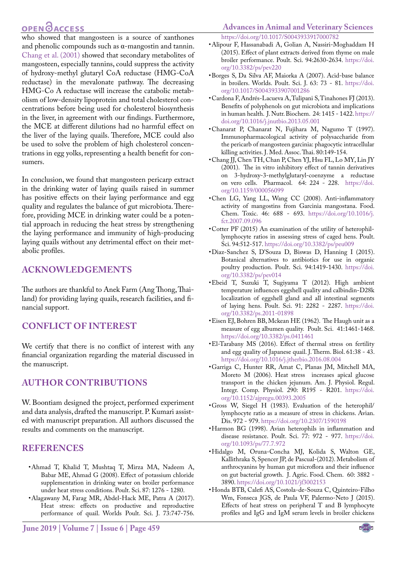# **OPEN**OACCESS

who showed that mangosteen is a source of xanthones and phenolic compounds such as α-mangostin and tannin. [Chang et al. \(2001\)](#page-7-15) showed that secondary metabolites of mangosteen, especially tannins, could suppress the activity of hydroxy-methyl glutaryl CoA reductase (HMG-CoA reductase) in the mevalonate pathway. The decreasing HMG-Co A reductase will increase the catabolic metabolism of low-density lipoprotein and total cholesterol concentrations before being used for cholesterol biosynthesis in the liver, in agreement with our findings. Furthermore, the MCE at different dilutions had no harmful effect on the liver of the laying quails. Therefore, MCE could also be used to solve the problem of high cholesterol concentrations in egg yolks, representing a health benefit for consumers.

In conclusion, we found that mangosteen pericarp extract in the drinking water of laying quails raised in summer has positive effects on their laying performance and egg quality and regulates the balance of gut microbiota. Therefore, providing MCE in drinking water could be a potential approach in reducing the heat stress by strengthening the laying performance and immunity of high-producing laying quails without any detrimental effect on their metabolic profiles.

#### **ACKNOWLEDGEMENTS**

The authors are thankful to Anek Farm (Ang Thong, Thailand) for providing laying quails, research facilities, and financial support.

### **CONFLICT OF INTEREST**

We certify that there is no conflict of interest with any financial organization regarding the material discussed in the manuscript.

## **AUTHOR CONTRIBUTIONS**

W. Boontiam designed the project, performed experiment and data analysis, drafted the manuscript. P. Kumari assisted with manuscript preparation. All authors discussed the results and comments on the manuscript.

#### **REFERENCES**

- <span id="page-7-2"></span>• Ahmad T, Khalid T, Mushtaq T, Mirza MA, Nadeem A, Babar ME, Ahmad G (2008). Effect of potassium chloride supplementation in drinking water on broiler performance under heat stress conditions. Poult. Sci. 87: 1276 - 1280.
- <span id="page-7-7"></span>• Alagawany M, Farag MR, Abdel-Hack ME, Patra A (2017). Heat stress: effects on productive and reproductive performance of quail. Worlds Poult. Sci. J. 73:747-756.

#### **Advances in Animal and Veterinary Sciences** [https://doi.org/10.1017/S0043933917000782](https://doi.org/10.1017/S0043933917000782 )

- <span id="page-7-3"></span>• Alipour F, Hassanabadi A, Golian A, Nassiri-Moghaddam H (2015). Effect of plant extracts derived from thyme on male broiler performance. Poult. Sci. 94:2630-2634. [https://doi.](https://doi.org/10.3382/ps/pev220 ) [org/10.3382/ps/pev220](https://doi.org/10.3382/ps/pev220 )
- <span id="page-7-9"></span>• Borges S, Da Silva AF, Maiorka A (2007). Acid-base balance in broilers. Worlds. Poult. Sci. J. 63: 73 - 81. [https://doi.](https://doi.org/10.1017/S0043933907001286 ) [org/10.1017/S0043933907001286](https://doi.org/10.1017/S0043933907001286 )
- • Cardona F, Andrés-Lacueva A, Tulipani S, Tinahones FJ (2013). Benefits of polyphenols on gut microbiota and implications in human health. J. Nutr. Biochem. 24: 1415 - 1422. [https://](https://doi.org/10.1016/j.jnutbio.2013.05.001 ) [doi.org/10.1016/j.jnutbio.2013.05.001](https://doi.org/10.1016/j.jnutbio.2013.05.001 )
- <span id="page-7-13"></span>• [Chanarat P, Chanarat N, Fujihara M, Nagumo T \(1997\).](https://doi.org/10.1016/j.jnutbio.2013.05.001 )  [Immunopharmacological activity of polysaccharide from](https://doi.org/10.1016/j.jnutbio.2013.05.001 )  [the pericarb of mangosteen garcinia: phagocytic intracellular](https://doi.org/10.1016/j.jnutbio.2013.05.001 )  [killing activities. J. Med. Assoc. Thai. 80:149-154.](https://doi.org/10.1016/j.jnutbio.2013.05.001 )
- <span id="page-7-15"></span>• Chang JJ, Chen TH, Chan P, Chen YJ, Hsu FL, Lo MY, Lin JY (2001). The in vitro inhibitory effect of tannin derivatives on 3-hydroxy-3-methylglutaryl-coenzyme a reductase on vero cells. Pharmacol. 64: 224 - 228. [https://doi.](https://doi.org/10.1159/000056099 ) [org/10.1159/000056099](https://doi.org/10.1159/000056099 )
- <span id="page-7-4"></span>• Chen LG, Yang LL, Wang CC (2008). Anti-inflammatory activity of mangostins from Garcinia mangostana. Food. Chem. Toxic. 46: 688 - 693. [https://doi.org/10.1016/j.](https://doi.org/10.1016/j.fct.2007.09.096 ) [fct.2007.09.096](https://doi.org/10.1016/j.fct.2007.09.096 )
- <span id="page-7-10"></span>• Cotter PF (2015) An examination of the utility of heterophillymphocyte ratios in assessing stress of caged hens. Poult. Sci. 94:512-517. [https://doi.org/10.3382/ps/peu009](https://doi.org/10.3382/ps/peu009 )
- • Diaz-Sanchez S, D'Souza D, Biswas D, Hanning I (2015). Botanical alternatives to antibiotics for use in organic poultry production. Poult. Sci. 94:1419-1430. [https://doi.](https://doi.org/10.3382/ps/pev014 ) [org/10.3382/ps/pev014](https://doi.org/10.3382/ps/pev014 )
- <span id="page-7-8"></span>• Ebeid T, Suzuki T, Sugiyama T (2012). High ambient temperature influences eggshell quality and calbindin-D28k localization of eggshell gland and all intestinal segments of laying hens. Poult. Sci. 91: 2282 - 2287. [https://doi.](https://doi.org/10.3382/ps.2011-01898 ) [org/10.3382/ps.2011-01898](https://doi.org/10.3382/ps.2011-01898 )
- <span id="page-7-5"></span>• Eisen EJ, Bohren BB, Mckean HE (1962). The Haugh unit as a measure of egg albumen quality. Poult. Sci. 41:1461-1468. [https://doi.org/10.3382/ps.0411461](https://doi.org/10.3382/ps.0411461 )
- <span id="page-7-6"></span>• El-Tarabany MS (2016). Effect of thermal stress on fertility and egg quality of Japanese quail. J. Therm. Biol. 61:38 - 43. [https://doi.org/10.1016/j.jtherbio.2016.08.004](https://doi.org/10.1016/j.jtherbio.2016.08.004 )
- <span id="page-7-0"></span>• Garriga C, Hunter RR, Amat C, Planas JM, Mitchell MA, Moreto M (2006). Heat stress increases apical glucose transport in the chicken jejunum. Am. J. Physiol. Regul. Integr. Comp. Physiol. 290: R195 - R201. [https://doi.](https://doi.org/10.1152/ajpregu.00393.2005 ) [org/10.1152/ajpregu.00393.2005](https://doi.org/10.1152/ajpregu.00393.2005 )
- <span id="page-7-11"></span>• Gross W, Siegel H (1983). Evaluation of the heterophil/ lymphocyte ratio as a measure of stress in chickens. Avian. Dis. 972 - 979. [https://doi.org/10.2307/1590198](https://doi.org/10.2307/1590198 )
- <span id="page-7-12"></span>• Harmon BG (1998). Avian heterophils in inflammation and disease resistance. Poult. Sci. 77: 972 - 977. [https://doi.](https://doi.org/10.1093/ps/77.7.972 ) [org/10.1093/ps/77.7.972](https://doi.org/10.1093/ps/77.7.972 )
- <span id="page-7-14"></span>• Hidalgo M, Oruna-Concha MJ, Kolida S, Walton GE, Kallithraka S, Spencer JP, de Pascual-(2012). Metabolism of anthrocyanins by human gut microflora and their influence on gut bacterial growth. J. Agric. Food. Chem. 60: 3882 - 3890. <https://doi.org/10.1021/jf3002153>
- <span id="page-7-1"></span>• Honda BTB, Calefi AS, Costola-de-Souza C, Quinteiro-Filho Wm, Fonseca JGS, de Paula VF, Palermo-Neto J (2015). Effects of heat stress on peripheral T and B lymphocyte profiles and IgG and IgM serum levels in broiler chickens